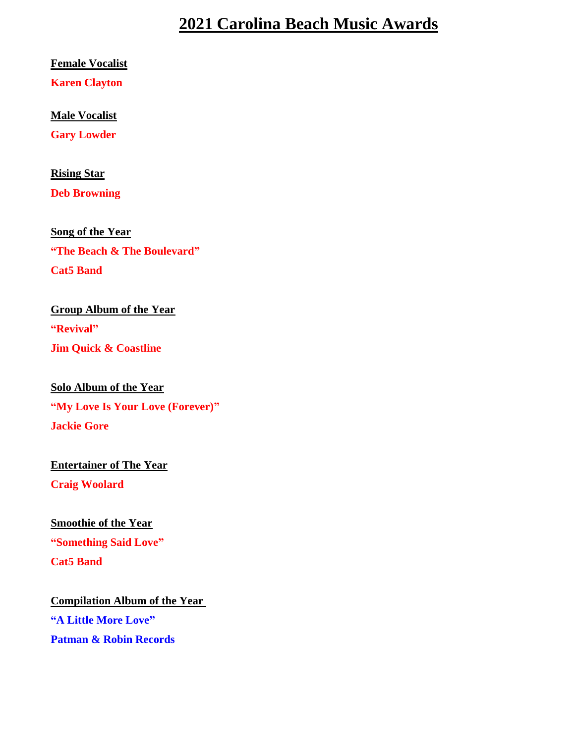## **2021 Carolina Beach Music Awards**

**Female Vocalist**

**Karen Clayton**

**Male Vocalist** 

**Gary Lowder**

**Rising Star**

**Deb Browning**

**Song of the Year "The Beach & The Boulevard" Cat5 Band**

**Group Album of the Year "Revival" Jim Quick & Coastline**

**Solo Album of the Year "My Love Is Your Love (Forever)" Jackie Gore**

**Entertainer of The Year Craig Woolard**

 **Smoothie of the Year "Something Said Love" Cat5 Band**

**Compilation Album of the Year "A Little More Love" Patman & Robin Records**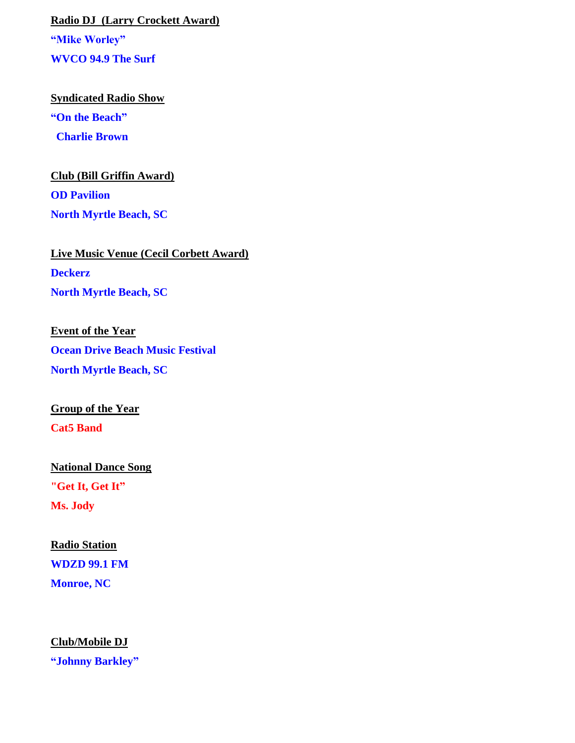**Radio DJ (Larry Crockett Award) "Mike Worley" WVCO 94.9 The Surf**

**Syndicated Radio Show "On the Beach" Charlie Brown**

**Club (Bill Griffin Award) OD Pavilion North Myrtle Beach, SC**

**Live Music Venue (Cecil Corbett Award) Deckerz North Myrtle Beach, SC**

**Event of the Year Ocean Drive Beach Music Festival North Myrtle Beach, SC**

**Group of the Year Cat5 Band**

**National Dance Song**

**"Get It, Get It" Ms. Jody**

**Radio Station**

**WDZD 99.1 FM**

**Monroe, NC**

**Club/Mobile DJ**

**"Johnny Barkley"**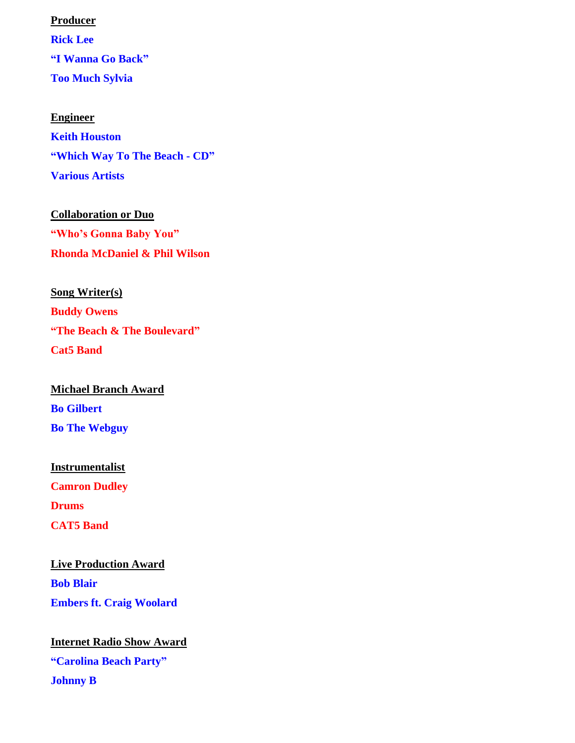**Producer Rick Lee "I Wanna Go Back" Too Much Sylvia**

**Engineer Keith Houston "Which Way To The Beach - CD" Various Artists**

**Collaboration or Duo "Who's Gonna Baby You" Rhonda McDaniel & Phil Wilson** 

**Song Writer(s) Buddy Owens "The Beach & The Boulevard" Cat5 Band**

**Michael Branch Award Bo Gilbert Bo The Webguy**

**Instrumentalist Camron Dudley Drums CAT5 Band**

**Live Production Award Bob Blair Embers ft. Craig Woolard**

**Internet Radio Show Award "Carolina Beach Party" Johnny B**